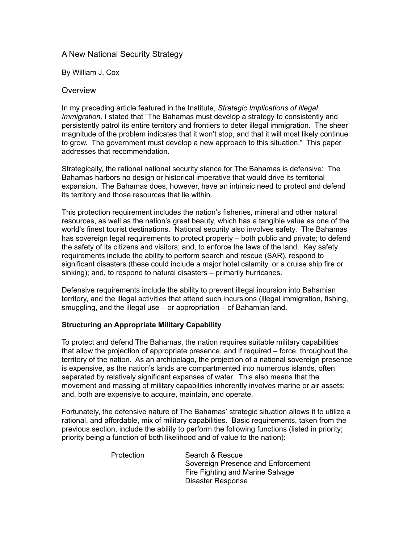## A New National Security Strategy

By William J. Cox

### **Overview**

In my preceding article featured in the Institute, *Strategic Implications of Illegal Immigration,* I stated that "The Bahamas must develop a strategy to consistently and persistently patrol its entire territory and frontiers to deter illegal immigration. The sheer magnitude of the problem indicates that it won't stop, and that it will most likely continue to grow. The government must develop a new approach to this situation." This paper addresses that recommendation.

Strategically, the rational national security stance for The Bahamas is defensive: The Bahamas harbors no design or historical imperative that would drive its territorial expansion. The Bahamas does, however, have an intrinsic need to protect and defend its territory and those resources that lie within.

This protection requirement includes the nation's fisheries, mineral and other natural resources, as well as the nation's great beauty, which has a tangible value as one of the world's finest tourist destinations. National security also involves safety. The Bahamas has sovereign legal requirements to protect property – both public and private; to defend the safety of its citizens and visitors; and, to enforce the laws of the land. Key safety requirements include the ability to perform search and rescue (SAR), respond to significant disasters (these could include a major hotel calamity, or a cruise ship fire or sinking); and, to respond to natural disasters – primarily hurricanes.

Defensive requirements include the ability to prevent illegal incursion into Bahamian territory, and the illegal activities that attend such incursions (illegal immigration, fishing, smuggling, and the illegal use – or appropriation – of Bahamian land.

## **Structuring an Appropriate Military Capability**

To protect and defend The Bahamas, the nation requires suitable military capabilities that allow the projection of appropriate presence, and if required – force, throughout the territory of the nation. As an archipelago, the projection of a national sovereign presence is expensive, as the nation's lands are compartmented into numerous islands, often separated by relatively significant expanses of water. This also means that the movement and massing of military capabilities inherently involves marine or air assets; and, both are expensive to acquire, maintain, and operate.

Fortunately, the defensive nature of The Bahamas' strategic situation allows it to utilize a rational, and affordable, mix of military capabilities. Basic requirements, taken from the previous section, include the ability to perform the following functions (listed in priority; priority being a function of both likelihood and of value to the nation):

| Protection | Search & Rescue                    |
|------------|------------------------------------|
|            | Sovereign Presence and Enforcement |
|            | Fire Fighting and Marine Salvage   |
|            | Disaster Response                  |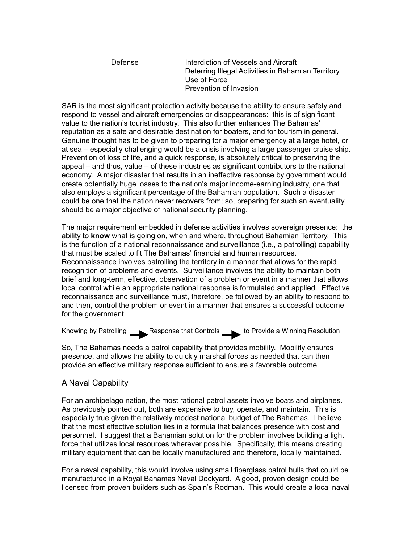Defense Interdiction of Vessels and Aircraft Deterring Illegal Activities in Bahamian Territory Use of Force Prevention of Invasion

SAR is the most significant protection activity because the ability to ensure safety and respond to vessel and aircraft emergencies or disappearances: this is of significant value to the nation's tourist industry. This also further enhances The Bahamas' reputation as a safe and desirable destination for boaters, and for tourism in general. Genuine thought has to be given to preparing for a major emergency at a large hotel, or at sea – especially challenging would be a crisis involving a large passenger cruise ship. Prevention of loss of life, and a quick response, is absolutely critical to preserving the appeal – and thus, value – of these industries as significant contributors to the national economy. A major disaster that results in an ineffective response by government would create potentially huge losses to the nation's major income-earning industry, one that also employs a significant percentage of the Bahamian population. Such a disaster could be one that the nation never recovers from; so, preparing for such an eventuality should be a major objective of national security planning.

The major requirement embedded in defense activities involves sovereign presence: the ability to **know** what is going on, when and where, throughout Bahamian Territory. This is the function of a national reconnaissance and surveillance (i.e., a patrolling) capability that must be scaled to fit The Bahamas' financial and human resources. Reconnaissance involves patrolling the territory in a manner that allows for the rapid recognition of problems and events. Surveillance involves the ability to maintain both brief and long-term, effective, observation of a problem or event in a manner that allows local control while an appropriate national response is formulated and applied. Effective reconnaissance and surveillance must, therefore, be followed by an ability to respond to, and then, control the problem or event in a manner that ensures a successful outcome for the government.

Knowing by Patrolling Response that Controls to Provide a Winning Resolution

So, The Bahamas needs a patrol capability that provides mobility. Mobility ensures presence, and allows the ability to quickly marshal forces as needed that can then provide an effective military response sufficient to ensure a favorable outcome.

## A Naval Capability

For an archipelago nation, the most rational patrol assets involve boats and airplanes. As previously pointed out, both are expensive to buy, operate, and maintain. This is especially true given the relatively modest national budget of The Bahamas. I believe that the most effective solution lies in a formula that balances presence with cost and personnel. I suggest that a Bahamian solution for the problem involves building a light force that utilizes local resources wherever possible. Specifically, this means creating military equipment that can be locally manufactured and therefore, locally maintained.

For a naval capability, this would involve using small fiberglass patrol hulls that could be manufactured in a Royal Bahamas Naval Dockyard. A good, proven design could be licensed from proven builders such as Spain's Rodman. This would create a local naval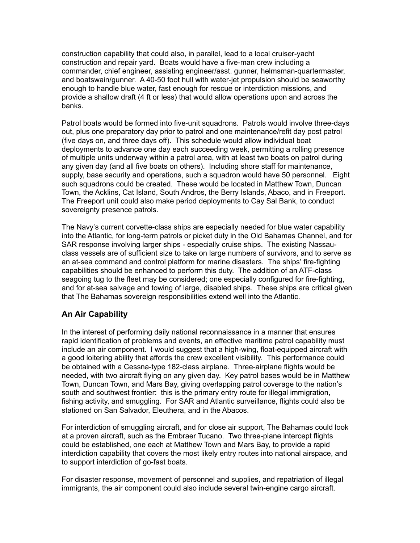construction capability that could also, in parallel, lead to a local cruiser-yacht construction and repair yard. Boats would have a five-man crew including a commander, chief engineer, assisting engineer/asst. gunner, helmsman-quartermaster, and boatswain/gunner. A 40-50 foot hull with water-jet propulsion should be seaworthy enough to handle blue water, fast enough for rescue or interdiction missions, and provide a shallow draft (4 ft or less) that would allow operations upon and across the banks.

Patrol boats would be formed into five-unit squadrons. Patrols would involve three-days out, plus one preparatory day prior to patrol and one maintenance/refit day post patrol (five days on, and three days off). This schedule would allow individual boat deployments to advance one day each succeeding week, permitting a rolling presence of multiple units underway within a patrol area, with at least two boats on patrol during any given day (and all five boats on others). Including shore staff for maintenance, supply, base security and operations, such a squadron would have 50 personnel. Eight such squadrons could be created. These would be located in Matthew Town, Duncan Town, the Acklins, Cat Island, South Andros, the Berry Islands, Abaco, and in Freeport. The Freeport unit could also make period deployments to Cay Sal Bank, to conduct sovereignty presence patrols.

The Navy's current corvette-class ships are especially needed for blue water capability into the Atlantic, for long-term patrols or picket duty in the Old Bahamas Channel, and for SAR response involving larger ships - especially cruise ships. The existing Nassauclass vessels are of sufficient size to take on large numbers of survivors, and to serve as an at-sea command and control platform for marine disasters. The ships' fire-fighting capabilities should be enhanced to perform this duty. The addition of an ATF-class seagoing tug to the fleet may be considered; one especially configured for fire-fighting, and for at-sea salvage and towing of large, disabled ships. These ships are critical given that The Bahamas sovereign responsibilities extend well into the Atlantic.

# **An Air Capability**

In the interest of performing daily national reconnaissance in a manner that ensures rapid identification of problems and events, an effective maritime patrol capability must include an air component. I would suggest that a high-wing, float-equipped aircraft with a good loitering ability that affords the crew excellent visibility. This performance could be obtained with a Cessna-type 182-class airplane. Three-airplane flights would be needed, with two aircraft flying on any given day. Key patrol bases would be in Matthew Town, Duncan Town, and Mars Bay, giving overlapping patrol coverage to the nation's south and southwest frontier: this is the primary entry route for illegal immigration, fishing activity, and smuggling. For SAR and Atlantic surveillance, flights could also be stationed on San Salvador, Eleuthera, and in the Abacos.

For interdiction of smuggling aircraft, and for close air support, The Bahamas could look at a proven aircraft, such as the Embraer Tucano. Two three-plane intercept flights could be established, one each at Matthew Town and Mars Bay, to provide a rapid interdiction capability that covers the most likely entry routes into national airspace, and to support interdiction of go-fast boats.

For disaster response, movement of personnel and supplies, and repatriation of illegal immigrants, the air component could also include several twin-engine cargo aircraft.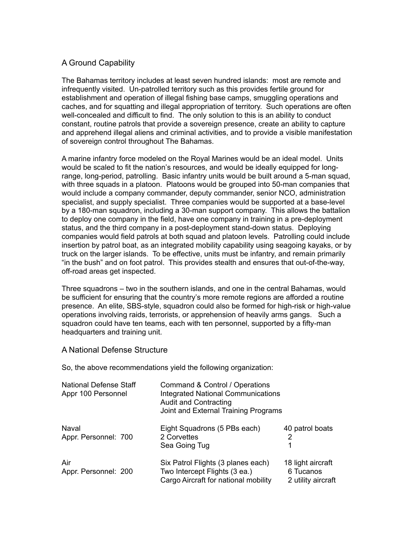# A Ground Capability

The Bahamas territory includes at least seven hundred islands: most are remote and infrequently visited. Un-patrolled territory such as this provides fertile ground for establishment and operation of illegal fishing base camps, smuggling operations and caches, and for squatting and illegal appropriation of territory. Such operations are often well-concealed and difficult to find. The only solution to this is an ability to conduct constant, routine patrols that provide a sovereign presence, create an ability to capture and apprehend illegal aliens and criminal activities, and to provide a visible manifestation of sovereign control throughout The Bahamas.

A marine infantry force modeled on the Royal Marines would be an ideal model. Units would be scaled to fit the nation's resources, and would be ideally equipped for longrange, long-period, patrolling. Basic infantry units would be built around a 5-man squad, with three squads in a platoon. Platoons would be grouped into 50-man companies that would include a company commander, deputy commander, senior NCO, administration specialist, and supply specialist. Three companies would be supported at a base-level by a 180-man squadron, including a 30-man support company. This allows the battalion to deploy one company in the field, have one company in training in a pre-deployment status, and the third company in a post-deployment stand-down status. Deploying companies would field patrols at both squad and platoon levels. Patrolling could include insertion by patrol boat, as an integrated mobility capability using seagoing kayaks, or by truck on the larger islands. To be effective, units must be infantry, and remain primarily "in the bush" and on foot patrol. This provides stealth and ensures that out-of-the-way, off-road areas get inspected.

Three squadrons – two in the southern islands, and one in the central Bahamas, would be sufficient for ensuring that the country's more remote regions are afforded a routine presence. An elite, SBS-style, squadron could also be formed for high-risk or high-value operations involving raids, terrorists, or apprehension of heavily arms gangs. Such a squadron could have ten teams, each with ten personnel, supported by a fifty-man headquarters and training unit.

## A National Defense Structure

So, the above recommendations yield the following organization:

| <b>National Defense Staff</b><br>Appr 100 Personnel | Command & Control / Operations<br><b>Integrated National Communications</b><br><b>Audit and Contracting</b><br>Joint and External Training Programs |                                                      |
|-----------------------------------------------------|-----------------------------------------------------------------------------------------------------------------------------------------------------|------------------------------------------------------|
| Naval<br>Appr. Personnel: 700                       | Eight Squadrons (5 PBs each)<br>2 Corvettes<br>Sea Going Tug                                                                                        | 40 patrol boats<br>2<br>1                            |
| Air<br>Appr. Personnel: 200                         | Six Patrol Flights (3 planes each)<br>Two Intercept Flights (3 ea.)<br>Cargo Aircraft for national mobility                                         | 18 light aircraft<br>6 Tucanos<br>2 utility aircraft |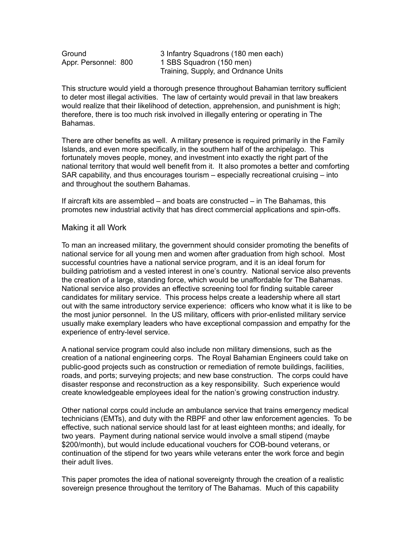Ground 3 Infantry Squadrons (180 men each) Appr. Personnel: 800 1 SBS Squadron (150 men) Training, Supply, and Ordnance Units

This structure would yield a thorough presence throughout Bahamian territory sufficient to deter most illegal activities. The law of certainty would prevail in that law breakers would realize that their likelihood of detection, apprehension, and punishment is high; therefore, there is too much risk involved in illegally entering or operating in The Bahamas.

There are other benefits as well. A military presence is required primarily in the Family Islands, and even more specifically, in the southern half of the archipelago. This fortunately moves people, money, and investment into exactly the right part of the national territory that would well benefit from it. It also promotes a better and comforting SAR capability, and thus encourages tourism – especially recreational cruising – into and throughout the southern Bahamas.

If aircraft kits are assembled – and boats are constructed – in The Bahamas, this promotes new industrial activity that has direct commercial applications and spin-offs.

### Making it all Work

To man an increased military, the government should consider promoting the benefits of national service for all young men and women after graduation from high school. Most successful countries have a national service program, and it is an ideal forum for building patriotism and a vested interest in one's country. National service also prevents the creation of a large, standing force, which would be unaffordable for The Bahamas. National service also provides an effective screening tool for finding suitable career candidates for military service. This process helps create a leadership where all start out with the same introductory service experience: officers who know what it is like to be the most junior personnel. In the US military, officers with prior-enlisted military service usually make exemplary leaders who have exceptional compassion and empathy for the experience of entry-level service.

A national service program could also include non military dimensions, such as the creation of a national engineering corps. The Royal Bahamian Engineers could take on public-good projects such as construction or remediation of remote buildings, facilities, roads, and ports; surveying projects; and new base construction. The corps could have disaster response and reconstruction as a key responsibility. Such experience would create knowledgeable employees ideal for the nation's growing construction industry.

Other national corps could include an ambulance service that trains emergency medical technicians (EMTs), and duty with the RBPF and other law enforcement agencies. To be effective, such national service should last for at least eighteen months; and ideally, for two years. Payment during national service would involve a small stipend (maybe \$200/month), but would include educational vouchers for COB-bound veterans, or continuation of the stipend for two years while veterans enter the work force and begin their adult lives.

This paper promotes the idea of national sovereignty through the creation of a realistic sovereign presence throughout the territory of The Bahamas. Much of this capability